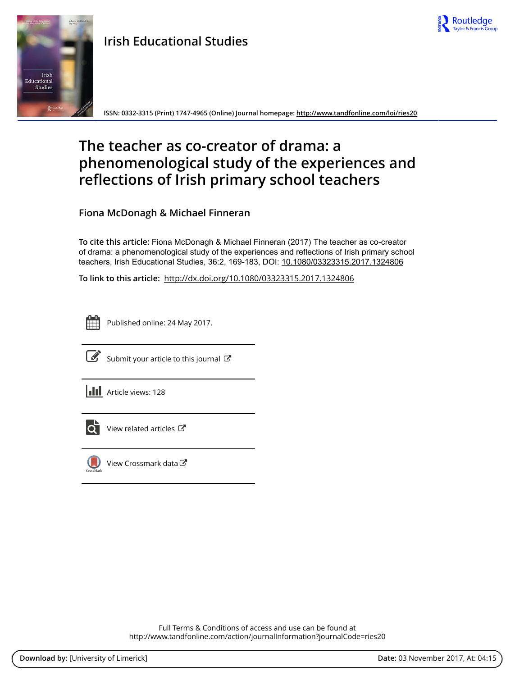

## **Irish Educational Studies**



**ISSN: 0332-3315 (Print) 1747-4965 (Online) Journal homepage:<http://www.tandfonline.com/loi/ries20>**

# **The teacher as co-creator of drama: a phenomenological study of the experiences and reflections of Irish primary school teachers**

**Fiona McDonagh & Michael Finneran**

**To cite this article:** Fiona McDonagh & Michael Finneran (2017) The teacher as co-creator of drama: a phenomenological study of the experiences and reflections of Irish primary school teachers, Irish Educational Studies, 36:2, 169-183, DOI: [10.1080/03323315.2017.1324806](http://www.tandfonline.com/action/showCitFormats?doi=10.1080/03323315.2017.1324806)

**To link to this article:** <http://dx.doi.org/10.1080/03323315.2017.1324806>



Published online: 24 May 2017.



 $\overrightarrow{S}$  [Submit your article to this journal](http://www.tandfonline.com/action/authorSubmission?journalCode=ries20&show=instructions)  $\overrightarrow{S}$ 





 $\overline{\mathbf{C}}$  [View related articles](http://www.tandfonline.com/doi/mlt/10.1080/03323315.2017.1324806)  $\mathbf{C}$ 



 $\bigcirc$  [View Crossmark data](http://crossmark.crossref.org/dialog/?doi=10.1080/03323315.2017.1324806&domain=pdf&date_stamp=2017-05-24) $\mathbb{Z}$ 

Full Terms & Conditions of access and use can be found at <http://www.tandfonline.com/action/journalInformation?journalCode=ries20>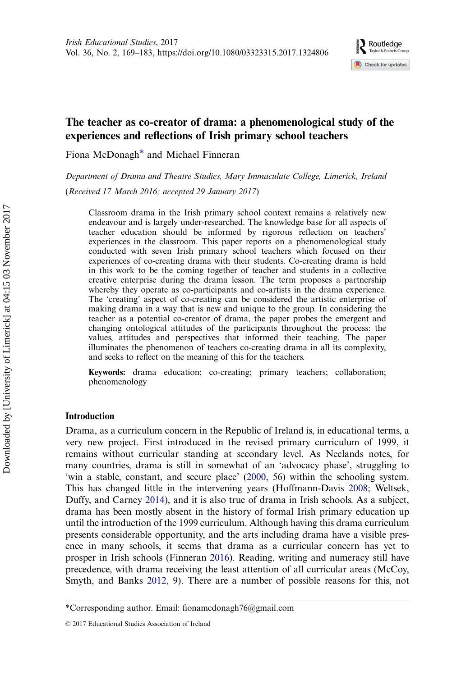## <span id="page-1-0"></span>The teacher as co-creator of drama: a phenomenological study of the experiences and reflections of Irish primary school teachers

Fiona McDonagh\* and Michael Finneran

Department of Drama and Theatre Studies, Mary Immaculate College, Limerick, Ireland

(Received 17 March 2016; accepted 29 January 2017)

Classroom drama in the Irish primary school context remains a relatively new endeavour and is largely under-researched. The knowledge base for all aspects of teacher education should be informed by rigorous reflection on teachers' experiences in the classroom. This paper reports on a phenomenological study conducted with seven Irish primary school teachers which focused on their experiences of co-creating drama with their students. Co-creating drama is held in this work to be the coming together of teacher and students in a collective creative enterprise during the drama lesson. The term proposes a partnership whereby they operate as co-participants and co-artists in the drama experience. The 'creating' aspect of co-creating can be considered the artistic enterprise of making drama in a way that is new and unique to the group. In considering the teacher as a potential co-creator of drama, the paper probes the emergent and changing ontological attitudes of the participants throughout the process: the values, attitudes and perspectives that informed their teaching. The paper illuminates the phenomenon of teachers co-creating drama in all its complexity, and seeks to reflect on the meaning of this for the teachers.

Keywords: drama education; co-creating; primary teachers; collaboration; phenomenology

## Introduction

Drama, as a curriculum concern in the Republic of Ireland is, in educational terms, a very new project. First introduced in the revised primary curriculum of 1999, it remains without curricular standing at secondary level. As Neelands notes, for many countries, drama is still in somewhat of an 'advocacy phase', struggling to 'win a stable, constant, and secure place' [\(2000](#page-14-0), 56) within the schooling system. This has changed little in the intervening years (Hoffmann-Davis [2008](#page-14-0); Weltsek, Duffy, and Carney [2014\)](#page-15-0), and it is also true of drama in Irish schools. As a subject, drama has been mostly absent in the history of formal Irish primary education up until the introduction of the 1999 curriculum. Although having this drama curriculum presents considerable opportunity, and the arts including drama have a visible presence in many schools, it seems that drama as a curricular concern has yet to prosper in Irish schools (Finneran [2016](#page-14-0)). Reading, writing and numeracy still have precedence, with drama receiving the least attention of all curricular areas (McCoy, Smyth, and Banks [2012,](#page-14-0) 9). There are a number of possible reasons for this, not

<sup>\*</sup>Corresponding author. Email: fi[onamcdonagh76@gmail.com](mailto:fionamcdonagh76@gmail.com)

<sup>© 2017</sup> Educational Studies Association of Ireland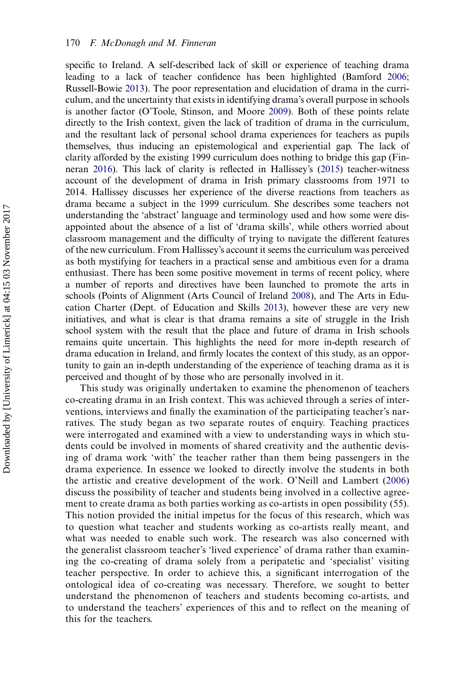<span id="page-2-0"></span>specific to Ireland. A self-described lack of skill or experience of teaching drama leading to a lack of teacher confidence has been highlighted (Bamford [2006](#page-14-0); Russell-Bowie [2013](#page-15-0)). The poor representation and elucidation of drama in the curriculum, and the uncertainty that exists in identifying drama's overall purpose in schools is another factor (O'Toole, Stinson, and Moore [2009](#page-15-0)). Both of these points relate directly to the Irish context, given the lack of tradition of drama in the curriculum, and the resultant lack of personal school drama experiences for teachers as pupils themselves, thus inducing an epistemological and experiential gap. The lack of clarity afforded by the existing 1999 curriculum does nothing to bridge this gap (Finneran [2016\)](#page-14-0). This lack of clarity is reflected in Hallissey's [\(2015](#page-14-0)) teacher-witness account of the development of drama in Irish primary classrooms from 1971 to 2014. Hallissey discusses her experience of the diverse reactions from teachers as drama became a subject in the 1999 curriculum. She describes some teachers not understanding the 'abstract' language and terminology used and how some were disappointed about the absence of a list of 'drama skills', while others worried about classroom management and the difficulty of trying to navigate the different features of the new curriculum. From Hallissey's account it seems the curriculum was perceived as both mystifying for teachers in a practical sense and ambitious even for a drama enthusiast. There has been some positive movement in terms of recent policy, where a number of reports and directives have been launched to promote the arts in schools (Points of Alignment (Arts Council of Ireland [2008\)](#page-14-0), and The Arts in Education Charter (Dept. of Education and Skills [2013](#page-14-0)), however these are very new initiatives, and what is clear is that drama remains a site of struggle in the Irish school system with the result that the place and future of drama in Irish schools remains quite uncertain. This highlights the need for more in-depth research of drama education in Ireland, and firmly locates the context of this study, as an opportunity to gain an in-depth understanding of the experience of teaching drama as it is perceived and thought of by those who are personally involved in it.

This study was originally undertaken to examine the phenomenon of teachers co-creating drama in an Irish context. This was achieved through a series of interventions, interviews and finally the examination of the participating teacher's narratives. The study began as two separate routes of enquiry. Teaching practices were interrogated and examined with a view to understanding ways in which students could be involved in moments of shared creativity and the authentic devising of drama work 'with' the teacher rather than them being passengers in the drama experience. In essence we looked to directly involve the students in both the artistic and creative development of the work. O'Neill and Lambert ([2006\)](#page-15-0) discuss the possibility of teacher and students being involved in a collective agreement to create drama as both parties working as co-artists in open possibility (55). This notion provided the initial impetus for the focus of this research, which was to question what teacher and students working as co-artists really meant, and what was needed to enable such work. The research was also concerned with the generalist classroom teacher's 'lived experience' of drama rather than examining the co-creating of drama solely from a peripatetic and 'specialist' visiting teacher perspective. In order to achieve this, a significant interrogation of the ontological idea of co-creating was necessary. Therefore, we sought to better understand the phenomenon of teachers and students becoming co-artists, and to understand the teachers' experiences of this and to reflect on the meaning of this for the teachers.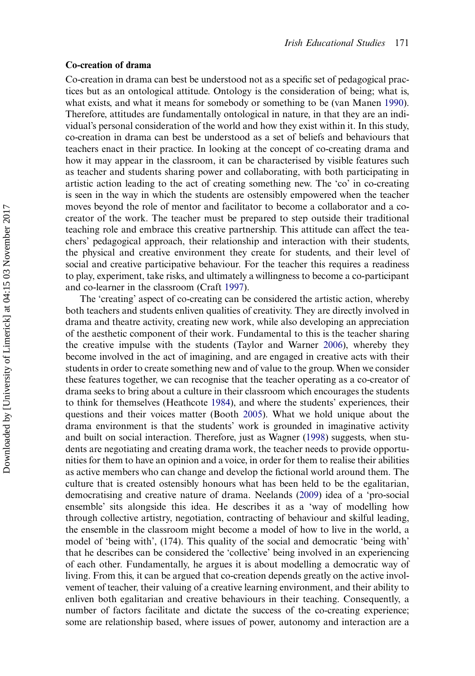### <span id="page-3-0"></span>Co-creation of drama

Co-creation in drama can best be understood not as a specific set of pedagogical practices but as an ontological attitude. Ontology is the consideration of being; what is, what exists, and what it means for somebody or something to be (van Manen [1990](#page-15-0)). Therefore, attitudes are fundamentally ontological in nature, in that they are an individual's personal consideration of the world and how they exist within it. In this study, co-creation in drama can best be understood as a set of beliefs and behaviours that teachers enact in their practice. In looking at the concept of co-creating drama and how it may appear in the classroom, it can be characterised by visible features such as teacher and students sharing power and collaborating, with both participating in artistic action leading to the act of creating something new. The 'co' in co-creating is seen in the way in which the students are ostensibly empowered when the teacher moves beyond the role of mentor and facilitator to become a collaborator and a cocreator of the work. The teacher must be prepared to step outside their traditional teaching role and embrace this creative partnership. This attitude can affect the teachers' pedagogical approach, their relationship and interaction with their students, the physical and creative environment they create for students, and their level of social and creative participative behaviour. For the teacher this requires a readiness to play, experiment, take risks, and ultimately a willingness to become a co-participant and co-learner in the classroom (Craft [1997](#page-14-0)).

The 'creating' aspect of co-creating can be considered the artistic action, whereby both teachers and students enliven qualities of creativity. They are directly involved in drama and theatre activity, creating new work, while also developing an appreciation of the aesthetic component of their work. Fundamental to this is the teacher sharing the creative impulse with the students (Taylor and Warner [2006\)](#page-15-0), whereby they become involved in the act of imagining, and are engaged in creative acts with their students in order to create something new and of value to the group. When we consider these features together, we can recognise that the teacher operating as a co-creator of drama seeks to bring about a culture in their classroom which encourages the students to think for themselves (Heathcote [1984](#page-14-0)), and where the students' experiences, their questions and their voices matter (Booth [2005\)](#page-14-0). What we hold unique about the drama environment is that the students' work is grounded in imaginative activity and built on social interaction. Therefore, just as Wagner ([1998\)](#page-15-0) suggests, when students are negotiating and creating drama work, the teacher needs to provide opportunities for them to have an opinion and a voice, in order for them to realise their abilities as active members who can change and develop the fictional world around them. The culture that is created ostensibly honours what has been held to be the egalitarian, democratising and creative nature of drama. Neelands ([2009\)](#page-15-0) idea of a 'pro-social ensemble' sits alongside this idea. He describes it as a 'way of modelling how through collective artistry, negotiation, contracting of behaviour and skilful leading, the ensemble in the classroom might become a model of how to live in the world, a model of 'being with', (174). This quality of the social and democratic 'being with' that he describes can be considered the 'collective' being involved in an experiencing of each other. Fundamentally, he argues it is about modelling a democratic way of living. From this, it can be argued that co-creation depends greatly on the active involvement of teacher, their valuing of a creative learning environment, and their ability to enliven both egalitarian and creative behaviours in their teaching. Consequently, a number of factors facilitate and dictate the success of the co-creating experience; some are relationship based, where issues of power, autonomy and interaction are a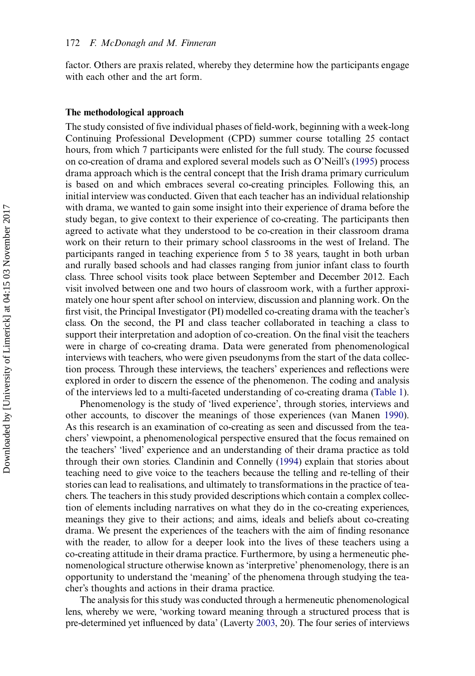<span id="page-4-0"></span>factor. Others are praxis related, whereby they determine how the participants engage with each other and the art form.

## The methodological approach

The study consisted of five individual phases of field-work, beginning with a week-long Continuing Professional Development (CPD) summer course totalling 25 contact hours, from which 7 participants were enlisted for the full study. The course focussed on co-creation of drama and explored several models such as O'Neill's ([1995\)](#page-15-0) process drama approach which is the central concept that the Irish drama primary curriculum is based on and which embraces several co-creating principles. Following this, an initial interview was conducted. Given that each teacher has an individual relationship with drama, we wanted to gain some insight into their experience of drama before the study began, to give context to their experience of co-creating. The participants then agreed to activate what they understood to be co-creation in their classroom drama work on their return to their primary school classrooms in the west of Ireland. The participants ranged in teaching experience from 5 to 38 years, taught in both urban and rurally based schools and had classes ranging from junior infant class to fourth class. Three school visits took place between September and December 2012. Each visit involved between one and two hours of classroom work, with a further approximately one hour spent after school on interview, discussion and planning work. On the first visit, the Principal Investigator (PI) modelled co-creating drama with the teacher's class. On the second, the PI and class teacher collaborated in teaching a class to support their interpretation and adoption of co-creation. On the final visit the teachers were in charge of co-creating drama. Data were generated from phenomenological interviews with teachers, who were given pseudonyms from the start of the data collection process. Through these interviews, the teachers' experiences and reflections were explored in order to discern the essence of the phenomenon. The coding and analysis of the interviews led to a multi-faceted understanding of co-creating drama ([Table 1](#page-5-0)).

Phenomenology is the study of 'lived experience', through stories, interviews and other accounts, to discover the meanings of those experiences (van Manen [1990](#page-15-0)). As this research is an examination of co-creating as seen and discussed from the teachers' viewpoint, a phenomenological perspective ensured that the focus remained on the teachers' 'lived' experience and an understanding of their drama practice as told through their own stories. Clandinin and Connelly [\(1994](#page-14-0)) explain that stories about teaching need to give voice to the teachers because the telling and re-telling of their stories can lead to realisations, and ultimately to transformations in the practice of teachers. The teachers in this study provided descriptions which contain a complex collection of elements including narratives on what they do in the co-creating experiences, meanings they give to their actions; and aims, ideals and beliefs about co-creating drama. We present the experiences of the teachers with the aim of finding resonance with the reader, to allow for a deeper look into the lives of these teachers using a co-creating attitude in their drama practice. Furthermore, by using a hermeneutic phenomenological structure otherwise known as 'interpretive' phenomenology, there is an opportunity to understand the 'meaning' of the phenomena through studying the teacher's thoughts and actions in their drama practice.

The analysis for this study was conducted through a hermeneutic phenomenological lens, whereby we were, 'working toward meaning through a structured process that is pre-determined yet influenced by data' (Laverty [2003,](#page-14-0) 20). The four series of interviews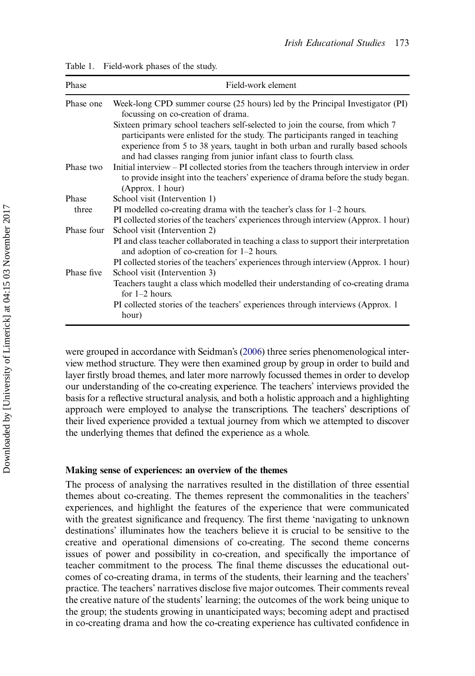| Phase      | Field-work element                                                                                                                                                                                                                               |
|------------|--------------------------------------------------------------------------------------------------------------------------------------------------------------------------------------------------------------------------------------------------|
| Phase one  | Week-long CPD summer course (25 hours) led by the Principal Investigator (PI)<br>focussing on co-creation of drama.                                                                                                                              |
|            | Sixteen primary school teachers self-selected to join the course, from which 7<br>participants were enlisted for the study. The participants ranged in teaching<br>experience from 5 to 38 years, taught in both urban and rurally based schools |
|            | and had classes ranging from junior infant class to fourth class.                                                                                                                                                                                |
| Phase two  | Initial interview – PI collected stories from the teachers through interview in order<br>to provide insight into the teachers' experience of drama before the study began.<br>(Approx. 1 hour)                                                   |
| Phase      | School visit (Intervention 1)                                                                                                                                                                                                                    |
| three      | PI modelled co-creating drama with the teacher's class for 1–2 hours.                                                                                                                                                                            |
|            | PI collected stories of the teachers' experiences through interview (Approx. 1 hour)                                                                                                                                                             |
| Phase four | School visit (Intervention 2)                                                                                                                                                                                                                    |
|            | PI and class teacher collaborated in teaching a class to support their interpretation<br>and adoption of co-creation for $1-2$ hours.                                                                                                            |
|            | PI collected stories of the teachers' experiences through interview (Approx. 1 hour)                                                                                                                                                             |
| Phase five | School visit (Intervention 3)                                                                                                                                                                                                                    |
|            | Teachers taught a class which modelled their understanding of co-creating drama<br>for $1-2$ hours.                                                                                                                                              |
|            | PI collected stories of the teachers' experiences through interviews (Approx. 1)<br>hour)                                                                                                                                                        |

<span id="page-5-0"></span>Table 1. Field-work phases of the study.

were grouped in accordance with Seidman's [\(2006\)](#page-15-0) three series phenomenological interview method structure. They were then examined group by group in order to build and layer firstly broad themes, and later more narrowly focussed themes in order to develop our understanding of the co-creating experience. The teachers' interviews provided the basis for a reflective structural analysis, and both a holistic approach and a highlighting approach were employed to analyse the transcriptions. The teachers' descriptions of their lived experience provided a textual journey from which we attempted to discover the underlying themes that defined the experience as a whole.

#### Making sense of experiences: an overview of the themes

The process of analysing the narratives resulted in the distillation of three essential themes about co-creating. The themes represent the commonalities in the teachers' experiences, and highlight the features of the experience that were communicated with the greatest significance and frequency. The first theme 'navigating to unknown destinations' illuminates how the teachers believe it is crucial to be sensitive to the creative and operational dimensions of co-creating. The second theme concerns issues of power and possibility in co-creation, and specifically the importance of teacher commitment to the process. The final theme discusses the educational outcomes of co-creating drama, in terms of the students, their learning and the teachers' practice. The teachers' narratives disclose five major outcomes. Their comments reveal the creative nature of the students' learning; the outcomes of the work being unique to the group; the students growing in unanticipated ways; becoming adept and practised in co-creating drama and how the co-creating experience has cultivated confidence in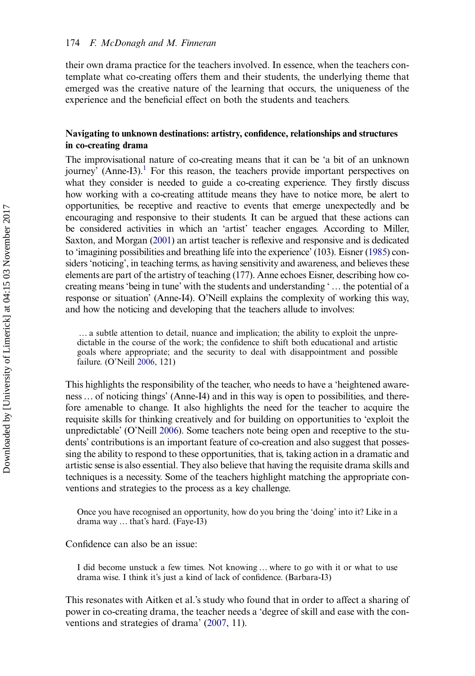<span id="page-6-0"></span>their own drama practice for the teachers involved. In essence, when the teachers contemplate what co-creating offers them and their students, the underlying theme that emerged was the creative nature of the learning that occurs, the uniqueness of the experience and the beneficial effect on both the students and teachers.

## Navigating to unknown destinations: artistry, confidence, relationships and structures in co-creating drama

The improvisational nature of co-creating means that it can be 'a bit of an unknown journey' (Anne-I3).<sup>1</sup> For this reason, the teachers provide important perspectives on what they consider is needed to guide a co-creating experience. They firstly discuss how working with a co-creating attitude means they have to notice more, be alert to opportunities, be receptive and reactive to events that emerge unexpectedly and be encouraging and responsive to their students. It can be argued that these actions can be considered activities in which an 'artist' teacher engages. According to Miller, Saxton, and Morgan ([2001](#page-14-0)) an artist teacher is reflexive and responsive and is dedicated to 'imagining possibilities and breathing life into the experience' (103). Eisner ([1985\)](#page-14-0) considers 'noticing', in teaching terms, as having sensitivity and awareness, and believes these elements are part of the artistry of teaching (177). Anne echoes Eisner, describing how cocreating means 'being in tune' with the students and understanding ' … the potential of a response or situation' (Anne-I4). O'Neill explains the complexity of working this way, and how the noticing and developing that the teachers allude to involves:

… a subtle attention to detail, nuance and implication; the ability to exploit the unpredictable in the course of the work; the confidence to shift both educational and artistic goals where appropriate; and the security to deal with disappointment and possible failure. (O'Neill [2006,](#page-15-0) 121)

This highlights the responsibility of the teacher, who needs to have a 'heightened awareness … of noticing things' (Anne-I4) and in this way is open to possibilities, and therefore amenable to change. It also highlights the need for the teacher to acquire the requisite skills for thinking creatively and for building on opportunities to 'exploit the unpredictable' (O'Neill [2006](#page-15-0)). Some teachers note being open and receptive to the students' contributions is an important feature of co-creation and also suggest that possessing the ability to respond to these opportunities, that is, taking action in a dramatic and artistic sense is also essential. They also believe that having the requisite drama skills and techniques is a necessity. Some of the teachers highlight matching the appropriate conventions and strategies to the process as a key challenge.

Once you have recognised an opportunity, how do you bring the 'doing' into it? Like in a drama way … that's hard. (Faye-I3)

Confidence can also be an issue:

I did become unstuck a few times. Not knowing … where to go with it or what to use drama wise. I think it's just a kind of lack of confidence. (Barbara-I3)

This resonates with Aitken et al.'s study who found that in order to affect a sharing of power in co-creating drama, the teacher needs a 'degree of skill and ease with the conventions and strategies of drama' [\(2007](#page-13-0), 11).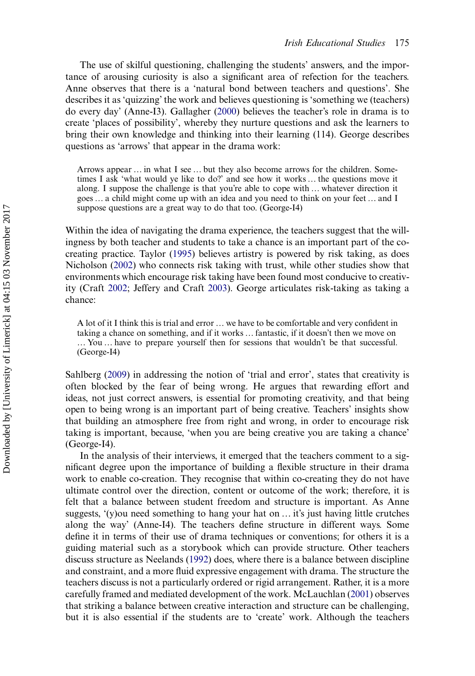<span id="page-7-0"></span>The use of skilful questioning, challenging the students' answers, and the importance of arousing curiosity is also a significant area of refection for the teachers. Anne observes that there is a 'natural bond between teachers and questions'. She describes it as 'quizzing' the work and believes questioning is 'something we (teachers) do every day' (Anne-I3). Gallagher ([2000\)](#page-14-0) believes the teacher's role in drama is to create 'places of possibility', whereby they nurture questions and ask the learners to bring their own knowledge and thinking into their learning (114). George describes questions as 'arrows' that appear in the drama work:

Arrows appear … in what I see … but they also become arrows for the children. Sometimes I ask 'what would ye like to do?' and see how it works … the questions move it along. I suppose the challenge is that you're able to cope with … whatever direction it goes … a child might come up with an idea and you need to think on your feet … and I suppose questions are a great way to do that too. (George-I4)

Within the idea of navigating the drama experience, the teachers suggest that the willingness by both teacher and students to take a chance is an important part of the cocreating practice. Taylor [\(1995](#page-15-0)) believes artistry is powered by risk taking, as does Nicholson ([2002\)](#page-15-0) who connects risk taking with trust, while other studies show that environments which encourage risk taking have been found most conducive to creativity (Craft [2002](#page-14-0); Jeffery and Craft [2003](#page-14-0)). George articulates risk-taking as taking a chance:

A lot of it I think this is trial and error … we have to be comfortable and very confident in taking a chance on something, and if it works … fantastic, if it doesn't then we move on … You … have to prepare yourself then for sessions that wouldn't be that successful. (George-I4)

Sahlberg ([2009\)](#page-15-0) in addressing the notion of 'trial and error', states that creativity is often blocked by the fear of being wrong. He argues that rewarding effort and ideas, not just correct answers, is essential for promoting creativity, and that being open to being wrong is an important part of being creative. Teachers' insights show that building an atmosphere free from right and wrong, in order to encourage risk taking is important, because, 'when you are being creative you are taking a chance' (George-I4).

In the analysis of their interviews, it emerged that the teachers comment to a significant degree upon the importance of building a flexible structure in their drama work to enable co-creation. They recognise that within co-creating they do not have ultimate control over the direction, content or outcome of the work; therefore, it is felt that a balance between student freedom and structure is important. As Anne suggests, '(y)ou need something to hang your hat on … it's just having little crutches along the way' (Anne-I4). The teachers define structure in different ways. Some define it in terms of their use of drama techniques or conventions; for others it is a guiding material such as a storybook which can provide structure. Other teachers discuss structure as Neelands [\(1992](#page-14-0)) does, where there is a balance between discipline and constraint, and a more fluid expressive engagement with drama. The structure the teachers discuss is not a particularly ordered or rigid arrangement. Rather, it is a more carefully framed and mediated development of the work. McLauchlan [\(2001](#page-14-0)) observes that striking a balance between creative interaction and structure can be challenging, but it is also essential if the students are to 'create' work. Although the teachers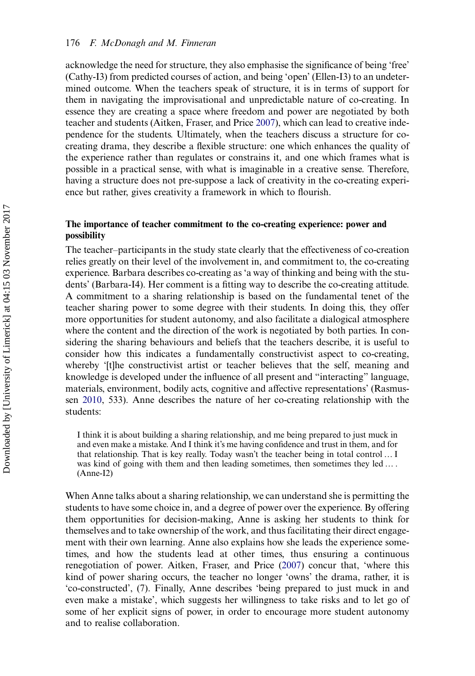<span id="page-8-0"></span>acknowledge the need for structure, they also emphasise the significance of being 'free' (Cathy-I3) from predicted courses of action, and being 'open' (Ellen-I3) to an undetermined outcome. When the teachers speak of structure, it is in terms of support for them in navigating the improvisational and unpredictable nature of co-creating. In essence they are creating a space where freedom and power are negotiated by both teacher and students (Aitken, Fraser, and Price [2007\)](#page-13-0), which can lead to creative independence for the students. Ultimately, when the teachers discuss a structure for cocreating drama, they describe a flexible structure: one which enhances the quality of the experience rather than regulates or constrains it, and one which frames what is possible in a practical sense, with what is imaginable in a creative sense. Therefore, having a structure does not pre-suppose a lack of creativity in the co-creating experience but rather, gives creativity a framework in which to flourish.

## The importance of teacher commitment to the co-creating experience: power and possibility

The teacher–participants in the study state clearly that the effectiveness of co-creation relies greatly on their level of the involvement in, and commitment to, the co-creating experience. Barbara describes co-creating as 'a way of thinking and being with the students' (Barbara-I4). Her comment is a fitting way to describe the co-creating attitude. A commitment to a sharing relationship is based on the fundamental tenet of the teacher sharing power to some degree with their students. In doing this, they offer more opportunities for student autonomy, and also facilitate a dialogical atmosphere where the content and the direction of the work is negotiated by both parties. In considering the sharing behaviours and beliefs that the teachers describe, it is useful to consider how this indicates a fundamentally constructivist aspect to co-creating, whereby '[t]he constructivist artist or teacher believes that the self, meaning and knowledge is developed under the influence of all present and "interacting" language, materials, environment, bodily acts, cognitive and affective representations' (Rasmussen [2010,](#page-15-0) 533). Anne describes the nature of her co-creating relationship with the students:

I think it is about building a sharing relationship, and me being prepared to just muck in and even make a mistake. And I think it's me having confidence and trust in them, and for that relationship. That is key really. Today wasn't the teacher being in total control … I was kind of going with them and then leading sometimes, then sometimes they led ... (Anne-I2)

When Anne talks about a sharing relationship, we can understand she is permitting the students to have some choice in, and a degree of power over the experience. By offering them opportunities for decision-making, Anne is asking her students to think for themselves and to take ownership of the work, and thus facilitating their direct engagement with their own learning. Anne also explains how she leads the experience sometimes, and how the students lead at other times, thus ensuring a continuous renegotiation of power. Aitken, Fraser, and Price ([2007\)](#page-13-0) concur that, 'where this kind of power sharing occurs, the teacher no longer 'owns' the drama, rather, it is 'co-constructed', (7). Finally, Anne describes 'being prepared to just muck in and even make a mistake', which suggests her willingness to take risks and to let go of some of her explicit signs of power, in order to encourage more student autonomy and to realise collaboration.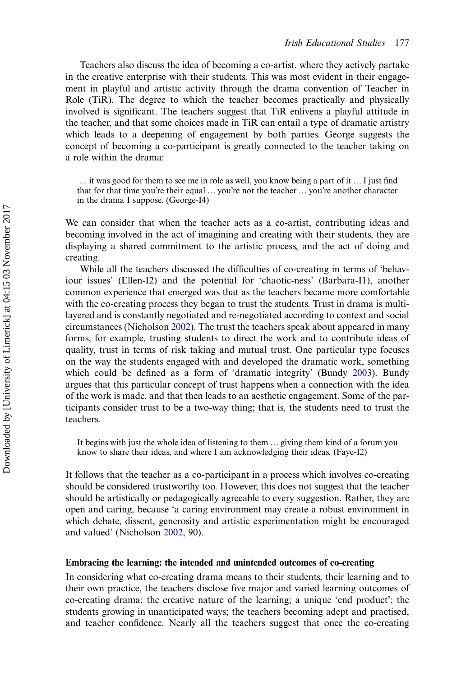<span id="page-9-0"></span>Teachers also discuss the idea of becoming a co-artist, where they actively partake in the creative enterprise with their students. This was most evident in their engagement in playful and artistic activity through the drama convention of Teacher in Role (TiR). The degree to which the teacher becomes practically and physically involved is significant. The teachers suggest that TiR enlivens a playful attitude in the teacher, and that some choices made in TiR can entail a type of dramatic artistry which leads to a deepening of engagement by both parties. George suggests the concept of becoming a co-participant is greatly connected to the teacher taking on a role within the drama:

… it was good for them to see me in role as well, you know being a part of it … I just find that for that time you're their equal ... you're not the teacher ... you're another character in the drama I suppose. (George-I4)

We can consider that when the teacher acts as a co-artist, contributing ideas and becoming involved in the act of imagining and creating with their students, they are displaying a shared commitment to the artistic process, and the act of doing and creating.

While all the teachers discussed the difficulties of co-creating in terms of 'behaviour issues' (Ellen-I2) and the potential for 'chaotic-ness' (Barbara-I1), another common experience that emerged was that as the teachers became more comfortable with the co-creating process they began to trust the students. Trust in drama is multilayered and is constantly negotiated and re-negotiated according to context and social circumstances (Nicholson [2002\)](#page-15-0). The trust the teachers speak about appeared in many forms, for example, trusting students to direct the work and to contribute ideas of quality, trust in terms of risk taking and mutual trust. One particular type focuses on the way the students engaged with and developed the dramatic work, something which could be defined as a form of 'dramatic integrity' (Bundy [2003](#page-14-0)). Bundy argues that this particular concept of trust happens when a connection with the idea of the work is made, and that then leads to an aesthetic engagement. Some of the participants consider trust to be a two-way thing; that is, the students need to trust the teachers.

It begins with just the whole idea of listening to them … giving them kind of a forum you know to share their ideas, and where I am acknowledging their ideas. (Faye-I2)

It follows that the teacher as a co-participant in a process which involves co-creating should be considered trustworthy too. However, this does not suggest that the teacher should be artistically or pedagogically agreeable to every suggestion. Rather, they are open and caring, because 'a caring environment may create a robust environment in which debate, dissent, generosity and artistic experimentation might be encouraged and valued' (Nicholson [2002,](#page-15-0) 90).

#### Embracing the learning: the intended and unintended outcomes of co-creating

In considering what co-creating drama means to their students, their learning and to their own practice, the teachers disclose five major and varied learning outcomes of co-creating drama: the creative nature of the learning; a unique 'end product'; the students growing in unanticipated ways; the teachers becoming adept and practised, and teacher confidence. Nearly all the teachers suggest that once the co-creating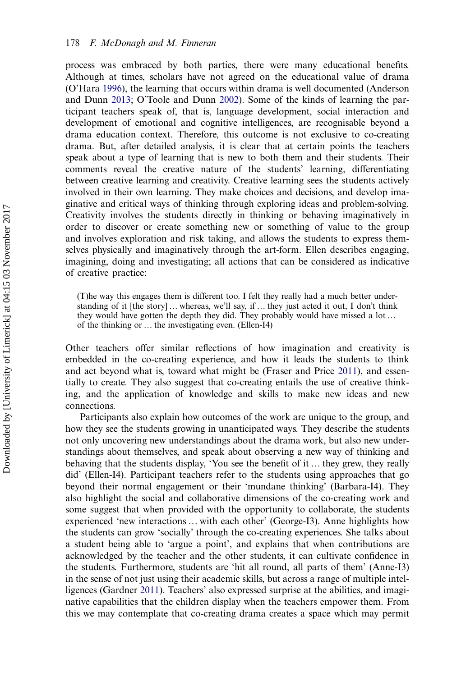<span id="page-10-0"></span>process was embraced by both parties, there were many educational benefits. Although at times, scholars have not agreed on the educational value of drama (O'Hara [1996\)](#page-15-0), the learning that occurs within drama is well documented (Anderson and Dunn [2013;](#page-14-0) O'Toole and Dunn [2002](#page-15-0)). Some of the kinds of learning the participant teachers speak of, that is, language development, social interaction and development of emotional and cognitive intelligences, are recognisable beyond a drama education context. Therefore, this outcome is not exclusive to co-creating drama. But, after detailed analysis, it is clear that at certain points the teachers speak about a type of learning that is new to both them and their students. Their comments reveal the creative nature of the students' learning, differentiating between creative learning and creativity. Creative learning sees the students actively involved in their own learning. They make choices and decisions, and develop imaginative and critical ways of thinking through exploring ideas and problem-solving. Creativity involves the students directly in thinking or behaving imaginatively in order to discover or create something new or something of value to the group and involves exploration and risk taking, and allows the students to express themselves physically and imaginatively through the art-form. Ellen describes engaging, imagining, doing and investigating; all actions that can be considered as indicative of creative practice:

(T)he way this engages them is different too. I felt they really had a much better understanding of it [the story] … whereas, we'll say, if … they just acted it out, I don't think they would have gotten the depth they did. They probably would have missed a lot … of the thinking or … the investigating even. (Ellen-I4)

Other teachers offer similar reflections of how imagination and creativity is embedded in the co-creating experience, and how it leads the students to think and act beyond what is, toward what might be (Fraser and Price [2011](#page-14-0)), and essentially to create. They also suggest that co-creating entails the use of creative thinking, and the application of knowledge and skills to make new ideas and new connections.

Participants also explain how outcomes of the work are unique to the group, and how they see the students growing in unanticipated ways. They describe the students not only uncovering new understandings about the drama work, but also new understandings about themselves, and speak about observing a new way of thinking and behaving that the students display, 'You see the benefit of it … they grew, they really did' (Ellen-I4). Participant teachers refer to the students using approaches that go beyond their normal engagement or their 'mundane thinking' (Barbara-I4). They also highlight the social and collaborative dimensions of the co-creating work and some suggest that when provided with the opportunity to collaborate, the students experienced 'new interactions … with each other' (George-I3). Anne highlights how the students can grow 'socially' through the co-creating experiences. She talks about a student being able to 'argue a point', and explains that when contributions are acknowledged by the teacher and the other students, it can cultivate confidence in the students. Furthermore, students are 'hit all round, all parts of them' (Anne-I3) in the sense of not just using their academic skills, but across a range of multiple intelligences (Gardner [2011\)](#page-14-0). Teachers' also expressed surprise at the abilities, and imaginative capabilities that the children display when the teachers empower them. From this we may contemplate that co-creating drama creates a space which may permit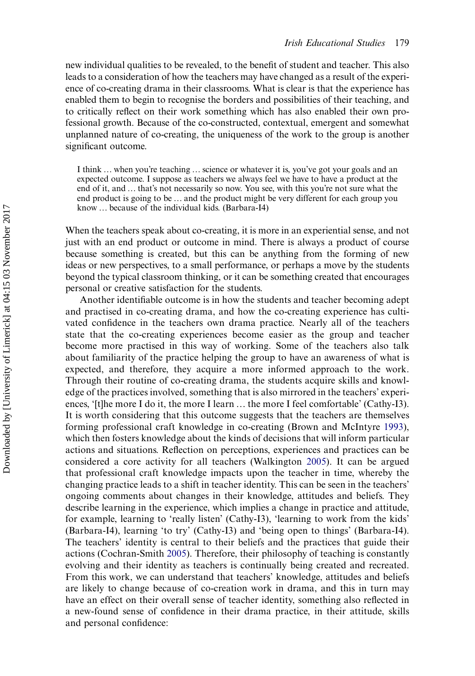<span id="page-11-0"></span>new individual qualities to be revealed, to the benefit of student and teacher. This also leads to a consideration of how the teachers may have changed as a result of the experience of co-creating drama in their classrooms. What is clear is that the experience has enabled them to begin to recognise the borders and possibilities of their teaching, and to critically reflect on their work something which has also enabled their own professional growth. Because of the co-constructed, contextual, emergent and somewhat unplanned nature of co-creating, the uniqueness of the work to the group is another significant outcome.

I think ... when you're teaching ... science or whatever it is, you've got your goals and an expected outcome. I suppose as teachers we always feel we have to have a product at the end of it, and ... that's not necessarily so now. You see, with this you're not sure what the end product is going to be … and the product might be very different for each group you know … because of the individual kids. (Barbara-I4)

When the teachers speak about co-creating, it is more in an experiential sense, and not just with an end product or outcome in mind. There is always a product of course because something is created, but this can be anything from the forming of new ideas or new perspectives, to a small performance, or perhaps a move by the students beyond the typical classroom thinking, or it can be something created that encourages personal or creative satisfaction for the students.

Another identifiable outcome is in how the students and teacher becoming adept and practised in co-creating drama, and how the co-creating experience has cultivated confidence in the teachers own drama practice. Nearly all of the teachers state that the co-creating experiences become easier as the group and teacher become more practised in this way of working. Some of the teachers also talk about familiarity of the practice helping the group to have an awareness of what is expected, and therefore, they acquire a more informed approach to the work. Through their routine of co-creating drama, the students acquire skills and knowledge of the practices involved, something that is also mirrored in the teachers' experiences, '[t]he more I do it, the more I learn … the more I feel comfortable' (Cathy-I3). It is worth considering that this outcome suggests that the teachers are themselves forming professional craft knowledge in co-creating (Brown and McIntyre [1993](#page-14-0)), which then fosters knowledge about the kinds of decisions that will inform particular actions and situations. Reflection on perceptions, experiences and practices can be considered a core activity for all teachers (Walkington [2005\)](#page-15-0). It can be argued that professional craft knowledge impacts upon the teacher in time, whereby the changing practice leads to a shift in teacher identity. This can be seen in the teachers' ongoing comments about changes in their knowledge, attitudes and beliefs. They describe learning in the experience, which implies a change in practice and attitude, for example, learning to 'really listen' (Cathy-I3), 'learning to work from the kids' (Barbara-I4), learning 'to try' (Cathy-I3) and 'being open to things' (Barbara-I4). The teachers' identity is central to their beliefs and the practices that guide their actions (Cochran-Smith [2005\)](#page-14-0). Therefore, their philosophy of teaching is constantly evolving and their identity as teachers is continually being created and recreated. From this work, we can understand that teachers' knowledge, attitudes and beliefs are likely to change because of co-creation work in drama, and this in turn may have an effect on their overall sense of teacher identity, something also reflected in a new-found sense of confidence in their drama practice, in their attitude, skills and personal confidence: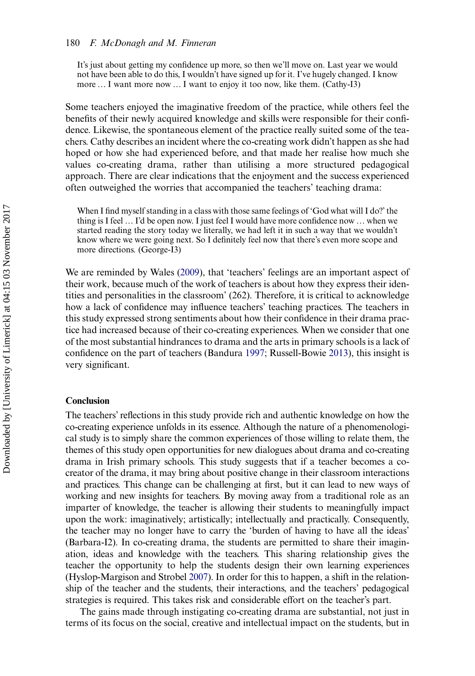<span id="page-12-0"></span>It's just about getting my confidence up more, so then we'll move on. Last year we would not have been able to do this, I wouldn't have signed up for it. I've hugely changed. I know more … I want more now … I want to enjoy it too now, like them. (Cathy-I3)

Some teachers enjoyed the imaginative freedom of the practice, while others feel the benefits of their newly acquired knowledge and skills were responsible for their confidence. Likewise, the spontaneous element of the practice really suited some of the teachers. Cathy describes an incident where the co-creating work didn't happen as she had hoped or how she had experienced before, and that made her realise how much she values co-creating drama, rather than utilising a more structured pedagogical approach. There are clear indications that the enjoyment and the success experienced often outweighed the worries that accompanied the teachers' teaching drama:

When I find myself standing in a class with those same feelings of 'God what will I do?' the thing is I feel … I'd be open now. I just feel I would have more confidence now … when we started reading the story today we literally, we had left it in such a way that we wouldn't know where we were going next. So I definitely feel now that there's even more scope and more directions. (George-I3)

We are reminded by Wales [\(2009](#page-15-0)), that 'teachers' feelings are an important aspect of their work, because much of the work of teachers is about how they express their identities and personalities in the classroom' (262). Therefore, it is critical to acknowledge how a lack of confidence may influence teachers' teaching practices. The teachers in this study expressed strong sentiments about how their confidence in their drama practice had increased because of their co-creating experiences. When we consider that one of the most substantial hindrances to drama and the arts in primary schools is a lack of confidence on the part of teachers (Bandura [1997;](#page-14-0) Russell-Bowie [2013\)](#page-15-0), this insight is very significant.

## Conclusion

The teachers' reflections in this study provide rich and authentic knowledge on how the co-creating experience unfolds in its essence. Although the nature of a phenomenological study is to simply share the common experiences of those willing to relate them, the themes of this study open opportunities for new dialogues about drama and co-creating drama in Irish primary schools. This study suggests that if a teacher becomes a cocreator of the drama, it may bring about positive change in their classroom interactions and practices. This change can be challenging at first, but it can lead to new ways of working and new insights for teachers. By moving away from a traditional role as an imparter of knowledge, the teacher is allowing their students to meaningfully impact upon the work: imaginatively; artistically; intellectually and practically. Consequently, the teacher may no longer have to carry the 'burden of having to have all the ideas' (Barbara-I2). In co-creating drama, the students are permitted to share their imagination, ideas and knowledge with the teachers. This sharing relationship gives the teacher the opportunity to help the students design their own learning experiences (Hyslop-Margison and Strobel [2007\)](#page-14-0). In order for this to happen, a shift in the relationship of the teacher and the students, their interactions, and the teachers' pedagogical strategies is required. This takes risk and considerable effort on the teacher's part.

The gains made through instigating co-creating drama are substantial, not just in terms of its focus on the social, creative and intellectual impact on the students, but in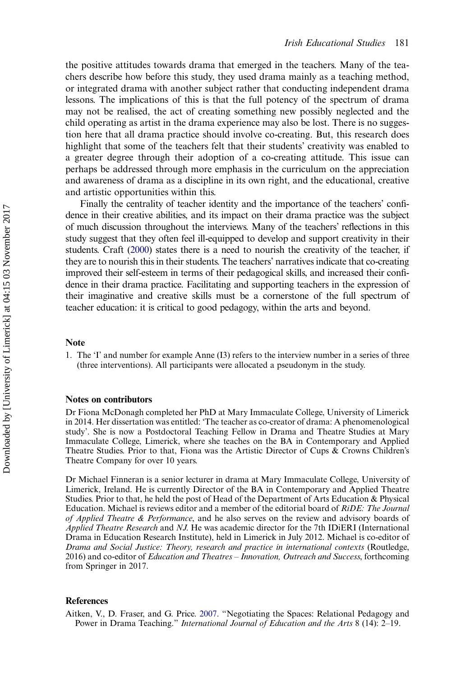<span id="page-13-0"></span>the positive attitudes towards drama that emerged in the teachers. Many of the teachers describe how before this study, they used drama mainly as a teaching method, or integrated drama with another subject rather that conducting independent drama lessons. The implications of this is that the full potency of the spectrum of drama may not be realised, the act of creating something new possibly neglected and the child operating as artist in the drama experience may also be lost. There is no suggestion here that all drama practice should involve co-creating. But, this research does highlight that some of the teachers felt that their students' creativity was enabled to a greater degree through their adoption of a co-creating attitude. This issue can perhaps be addressed through more emphasis in the curriculum on the appreciation and awareness of drama as a discipline in its own right, and the educational, creative and artistic opportunities within this.

Finally the centrality of teacher identity and the importance of the teachers' confidence in their creative abilities, and its impact on their drama practice was the subject of much discussion throughout the interviews. Many of the teachers' reflections in this study suggest that they often feel ill-equipped to develop and support creativity in their students. Craft [\(2000\)](#page-14-0) states there is a need to nourish the creativity of the teacher, if they are to nourish this in their students. The teachers' narratives indicate that co-creating improved their self-esteem in terms of their pedagogical skills, and increased their confidence in their drama practice. Facilitating and supporting teachers in the expression of their imaginative and creative skills must be a cornerstone of the full spectrum of teacher education: it is critical to good pedagogy, within the arts and beyond.

#### **Note**

1. The 'I' and number for example Anne (I3) refers to the interview number in a series of three (three interventions). All participants were allocated a pseudonym in the study.

#### Notes on contributors

Dr Fiona McDonagh completed her PhD at Mary Immaculate College, University of Limerick in 2014. Her dissertation was entitled: 'The teacher as co-creator of drama: A phenomenological study'. She is now a Postdoctoral Teaching Fellow in Drama and Theatre Studies at Mary Immaculate College, Limerick, where she teaches on the BA in Contemporary and Applied Theatre Studies. Prior to that, Fiona was the Artistic Director of Cups & Crowns Children's Theatre Company for over 10 years.

Dr Michael Finneran is a senior lecturer in drama at Mary Immaculate College, University of Limerick, Ireland. He is currently Director of the BA in Contemporary and Applied Theatre Studies. Prior to that, he held the post of Head of the Department of Arts Education & Physical Education. Michael is reviews editor and a member of the editorial board of RiDE: The Journal of Applied Theatre & Performance, and he also serves on the review and advisory boards of Applied Theatre Research and NJ. He was academic director for the 7th IDiERI (International Drama in Education Research Institute), held in Limerick in July 2012. Michael is co-editor of Drama and Social Justice: Theory, research and practice in international contexts (Routledge, 2016) and co-editor of Education and Theatres – Innovation, Outreach and Success, forthcoming from Springer in 2017.

#### **References**

Aitken, V., D. Fraser, and G. Price. [2007](#page-6-0). "Negotiating the Spaces: Relational Pedagogy and Power in Drama Teaching." International Journal of Education and the Arts 8 (14): 2–19.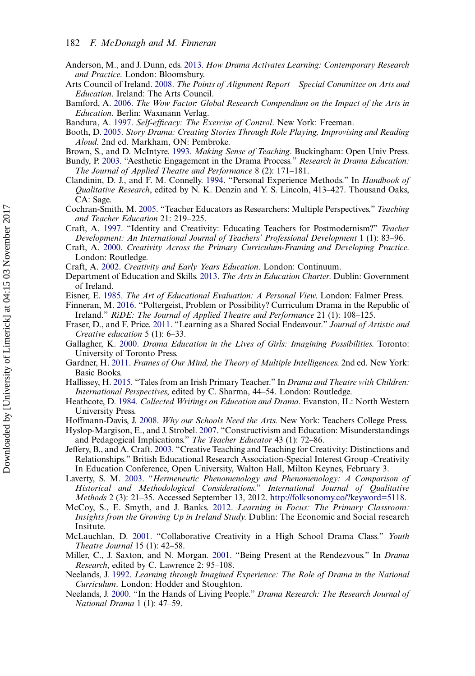- <span id="page-14-0"></span>Anderson, M., and J. Dunn, eds. [2013](#page-10-0). How Drama Activates Learning: Contemporary Research and Practice. London: Bloomsbury.
- Arts Council of Ireland. [2008.](#page-2-0) The Points of Alignment Report Special Committee on Arts and Education. Ireland: The Arts Council.
- Bamford, A. [2006](#page-2-0). The Wow Factor: Global Research Compendium on the Impact of the Arts in Education. Berlin: Waxmann Verlag.
- Bandura, A. [1997](#page-12-0). Self-efficacy: The Exercise of Control. New York: Freeman.
- Booth, D. [2005.](#page-3-0) Story Drama: Creating Stories Through Role Playing, Improvising and Reading Aloud. 2nd ed. Markham, ON: Pembroke.
- Brown, S., and D. McIntyre. [1993.](#page-11-0) Making Sense of Teaching. Buckingham: Open Univ Press.
- Bundy, P. [2003](#page-9-0). "Aesthetic Engagement in the Drama Process." Research in Drama Education: The Journal of Applied Theatre and Performance 8 (2): 171–181.
- Clandinin, D. J., and F. M. Connelly. [1994](#page-4-0). "Personal Experience Methods." In Handbook of Qualitative Research, edited by N. K. Denzin and Y. S. Lincoln, 413–427. Thousand Oaks, CA: Sage.
- Cochran-Smith, M. [2005](#page-11-0). "Teacher Educators as Researchers: Multiple Perspectives." Teaching and Teacher Education 21: 219–225.
- Craft, A. [1997.](#page-3-0) "Identity and Creativity: Educating Teachers for Postmodernism?" Teacher Development: An International Journal of Teachers' Professional Development 1 (1): 83–96.
- Craft, A. [2000](#page-13-0). Creativity Across the Primary Curriculum-Framing and Developing Practice. London: Routledge.
- Craft, A. [2002](#page-7-0). Creativity and Early Years Education. London: Continuum.
- Department of Education and Skills. [2013.](#page-2-0) The Arts in Education Charter. Dublin: Government of Ireland.
- Eisner, E. [1985](#page-6-0). The Art of Educational Evaluation: A Personal View. London: Falmer Press.
- Finneran, M. [2016](#page-1-0). "Poltergeist, Problem or Possibility? Curriculum Drama in the Republic of Ireland." RiDE: The Journal of Applied Theatre and Performance 21 (1): 108–125.
- Fraser, D., and F. Price. [2011.](#page-10-0) "Learning as a Shared Social Endeavour." Journal of Artistic and Creative education 5 (1): 6–33.
- Gallagher, K. [2000](#page-7-0). Drama Education in the Lives of Girls: Imagining Possibilities. Toronto: University of Toronto Press.
- Gardner, H. [2011.](#page-10-0) Frames of Our Mind, the Theory of Multiple Intelligences. 2nd ed. New York: Basic Books.
- Hallissey, H. [2015.](#page-2-0) "Tales from an Irish Primary Teacher." In Drama and Theatre with Children: International Perspectives, edited by C. Sharma, 44–54. London: Routledge.
- Heathcote, D. [1984.](#page-3-0) Collected Writings on Education and Drama. Evanston, IL: North Western University Press.
- Hoffmann-Davis, J. [2008.](#page-1-0) Why our Schools Need the Arts. New York: Teachers College Press.
- Hyslop-Margison, E., and J. Strobel. [2007.](#page-12-0) "Constructivism and Education: Misunderstandings and Pedagogical Implications." The Teacher Educator 43 (1): 72–86.
- Jeffery, B., and A. Craft. [2003](#page-7-0). "Creative Teaching and Teaching for Creativity: Distinctions and Relationships." British Educational Research Association-Special Interest Group -Creativity In Education Conference, Open University, Walton Hall, Milton Keynes, February 3.
- Laverty, S. M. [2003.](#page-4-0) "Hermeneutic Phenomenology and Phenomenology: A Comparison of Historical and Methodological Considerations." International Journal of Qualitative Methods 2 (3): 21–35. Accessed September 13, 2012. <http://folksonomy.co/?keyword=5118>.
- McCoy, S., E. Smyth, and J. Banks. [2012.](#page-1-0) Learning in Focus: The Primary Classroom: Insights from the Growing Up in Ireland Study. Dublin: The Economic and Social research Insitute.
- McLauchlan, D. [2001.](#page-7-0) "Collaborative Creativity in a High School Drama Class." Youth Theatre Journal 15 (1): 42–58.
- Miller, C., J. Saxton, and N. Morgan. [2001.](#page-6-0) "Being Present at the Rendezvous." In *Drama* Research, edited by C. Lawrence 2: 95–108.
- Neelands, J. [1992](#page-7-0). Learning through Imagined Experience: The Role of Drama in the National Curriculum. London: Hodder and Stoughton.
- Neelands, J. [2000.](#page-1-0) "In the Hands of Living People." Drama Research: The Research Journal of National Drama 1 (1): 47–59.